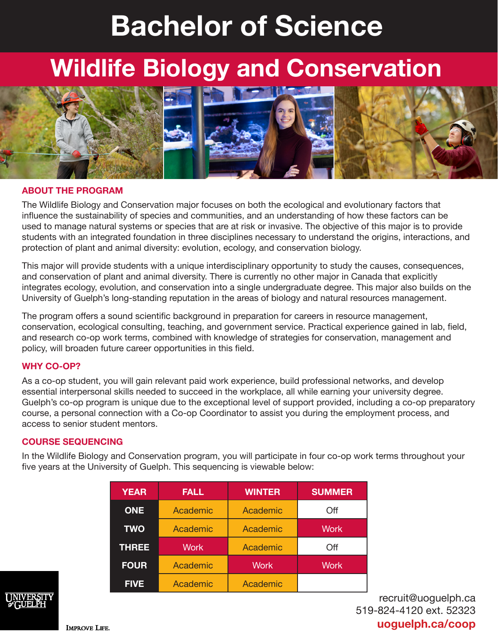# **Bachelor of Science**

## **Wildlife Biology and Conservation**



#### **ABOUT THE PROGRAM**

The Wildlife Biology and Conservation major focuses on both the ecological and evolutionary factors that influence the sustainability of species and communities, and an understanding of how these factors can be used to manage natural systems or species that are at risk or invasive. The objective of this major is to provide students with an integrated foundation in three disciplines necessary to understand the origins, interactions, and protection of plant and animal diversity: evolution, ecology, and conservation biology.

This major will provide students with a unique interdisciplinary opportunity to study the causes, consequences, and conservation of plant and animal diversity. There is currently no other major in Canada that explicitly integrates ecology, evolution, and conservation into a single undergraduate degree. This major also builds on the University of Guelph's long-standing reputation in the areas of biology and natural resources management.

The program offers a sound scientific background in preparation for careers in resource management, conservation, ecological consulting, teaching, and government service. Practical experience gained in lab, field, and research co-op work terms, combined with knowledge of strategies for conservation, management and policy, will broaden future career opportunities in this field.

#### **WHY CO-OP?**

As a co-op student, you will gain relevant paid work experience, build professional networks, and develop essential interpersonal skills needed to succeed in the workplace, all while earning your university degree. Guelph's co-op program is unique due to the exceptional level of support provided, including a co-op preparatory course, a personal connection with a Co-op Coordinator to assist you during the employment process, and access to senior student mentors.

#### **COURSE SEQUENCING**

In the Wildlife Biology and Conservation program, you will participate in four co-op work terms throughout your five years at the University of Guelph. This sequencing is viewable below:

| <b>YEAR</b>  | <b>FALL</b> | <b>WINTER</b> | <b>SUMMER</b> |
|--------------|-------------|---------------|---------------|
| <b>ONE</b>   | Academic    | Academic      | Off           |
| <b>TWO</b>   | Academic    | Academic      | <b>Work</b>   |
| <b>THREE</b> | <b>Work</b> | Academic      | Off           |
| <b>FOUR</b>  | Academic    | <b>Work</b>   | <b>Work</b>   |
| <b>FIVE</b>  | Academic    | Academic      |               |

recruit@uoguelph.ca 519-824-4120 ext. 52323 **uoguelph.ca/coop**